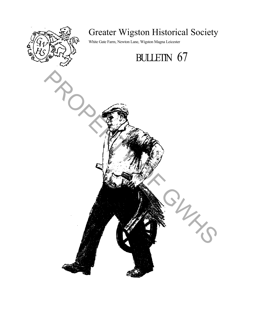

# Greater Wigston Historical Society

White Gate Farm, Newton Lane, Wigston Magna Leicester

# BULLETIN 67

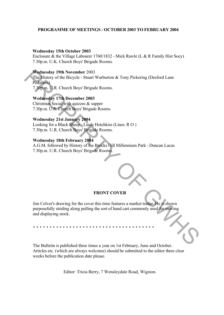# **PROGRAMME OF MEETINGS - OCTOBER 2003 TO FEBRUARY 2004**

#### **Wednesday 15th October 2003**

Enclosure & the Village Labourer 1760/1832 - Mick Rawle (L & R Family Hist Socy) 7.30p.m. U.K. Church Boys' Brigade Rooms.

# **Wednesday 19th November** 2003

The History of the Bicycle - Stuart Warburton & Tony Pickering (Desford Lane Pedallers) 7.30p.m. U.R. Church Boys' Brigade Rooms.

# **Wednesday 17th December 2003**

Christmas Social with quizzes & supper 7.30p.m. U.R. Church Boys' Brigade Rooms.

# **Wednesday 21st January 2004**

Looking for a Black Sheep - Linda Hotchkiss (Lines. R O ) 7.30p.m. U.R. Church Boys' Brigade Rooms.

#### **Wednesday 18th February 2004**

A.G.M. followed by History of the Brocks Hill Millennium Park - Duncan Lucas 7.30p.m. U.R. Church Boys' Brigade Rooms.

# **FRONT COVER**

Jim Colver's drawing for the cover this time features a market trader. He is shown purposefully striding along pulling the sort of hand cart commonly used for moving and displaying stock. We died Stay (Britished three cases are can be referred to the Bullion's Chapter Chemical Chemical Chemical Chemical Chemical Chemical Chemical Chemical Chemical Chemical Chemical Chemical Chemical Chemical Chemical Chemic

\* \* \* \* \* \* \* \* \* \* \* \* \* \* \* \* \* \* \* \* \* \* \* \* \* \* \* \* \* \* \* \* \* \* \* \* \*

The Bulletin is published three times a year on 1st February, June and October. Articles etc. (which are always welcome) should be submitted to the editor three clear weeks before the publication date please.

Editor: Tricia Berry, 7 Wensleydale Road, Wigston.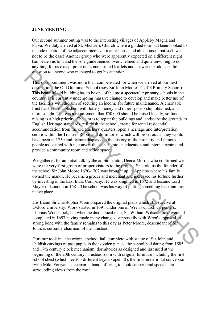#### **JUNE MEETING**

Our second summer outing was to the interesting villages of Appleby Magna and Parva. We duly arrived at St. Michael's Church where a guided tour had been booked to include mention of the adjacent medieval manor house and almshouses, but such was not to be the case! Another group who were apparently expected on a different night had beaten us to it and the sole guide seemed overwhelmed and quite unwilling to do anything for us except point out some printed leaflets and answer the odd specific question to anyone who managed to get his attention.

This disappointment was more than compensated for when we arrived at our next destination, the Old Grammar School (now Sir John Moore's C of E Primary School). This beautiful old building has to be one of the most spectacular primary schools in the country. It is currently undergoing massive change to develop and make better use of the facilities with the aim of securing an income for future maintenance. A charitable trust has been established, with lottery money and other sponsorship obtained, and more sought. There is a requirement that  $£50,000$  should be raised locally, so fund raising is a high priority. The aim is to repair the buildings and landscape the grounds to English Heritage standards, refurbish the school, create for rental residential accommodation from the old teachers' quarters, open a heritage and interpretation centre within the Trustees Room and dormitories which will be set out as they would have been in 1750 and feature displays on the history of the property and famous people associated with it, convert the stables into an education and internet centre and provide a community room and office space. **The distance of the managed to get his attention.**<br> **This dissippointment** was more than compensated for when we arrived at our next<br>
distinguished the Old Grammar School (now Sir John Moore's C of E Primary schools).<br>
T

We gathered for an initial talk by the administrator, Deena Morris, who confirmed we were the very first group of proper visitors to the project. She told us the founder of the school Sir John Moore 1620-1702 was brought up in Appleby where his family owned the manor. He became a grocer and merchant and increased his fortune further by investing in the East India Company. He was knighted in 1672 and became Lord Mayor of London in 1681. The school was his way of putting something back into his native place.

His friend Sir Christopher Wren prepared the original plans which still survive at Oxford University. Work started in 1691 under one of Wren's church carpenters, Thomas Woodstock, but when he died a local man, Sir William Wilson, took over and completed in 1697 having made many changes, supposedly with Wren's approval. A strong bond with the family remains to this day as Peter Moore, descendant of Sir John, is currently chairman of the Trustees.

Our tour took in:- the original school hall complete with statue of Sir John and childish carvings of past pupils in the wooden panels, the school bell dating from 1585 and 17th century clock mechanism, dormitories as designed and last used at the beginning of the 20th century, Trustees room with original furniture including the first school chest (which needs 3 different keys to open it!), the first modern flat conversion (with Mike Forryan, saucepan in hand, offering to cook supper) and spectacular surrounding views from the roof.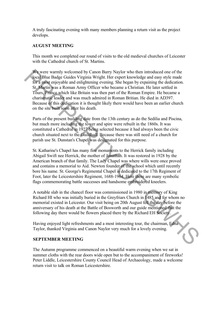A truly fascinating evening with many members planning a return visit as the project develops.

# **AUGUST MEETING**

This month we completed our round of visits to the old medieval churches of Leicester with the Cathedral church of St. Martins.

We were warmly welcomed by Canon Barry Naylor who then introduced one of the local Blue Badge Guides Virginia Wright. Her expert knowledge and easy style made for a most enjoyable and enlightening evening. She began by expaining the dedication. St. Martin was a Roman Army Officer who became a Christian. He later settled in Tours, France which like Britain was then part of the Roman Empire. He became a charismatic leader and was much admired in Roman Britian. He died in AD397. Because of this dedication it is thought likely there would have been an earlier church on the site built soon after his death. We were warmly welcomed by Camon Barry Naylor who then introduced one of the localized that Barlor and the form and the properties of the form and the form of the form of the form of the some Apple Tours Prince which like

Parts of the present building date from the 13th century as do the Sedilia and Piscina, but much more including the tower and spire were rebuilt in the 1860s. It was constituted a Cathedral in 1927 being selected because it had always been the civic church situated next to the Guildhall. Because there was still need of a church for parish use St. Dunstan's Chapel was designated for this purpose.

St. Katharine's Chapel has many fine monuments to the Herrick family including Abigail Swift nee Herrick, the mother of Jonathan. It was restored in 1928 by the American branch of that family. The Lady Chapel was where wills were once proved and contains a memorial to Aid. Newton founder of the school which until recently bore his name. St. George's Regimental Chapel is dedicated to the 17th Regiment of Foot, later the Leicestershire Regiment, 1688-1964. Here there are many symbolic flags commemorating battle successes and handsome embroidered kneelers.

A notable slab in the chancel floor was commissioned in 1980 in memory of King Richard HI who was initially buried in the Greyfriars Church in 1485 and for whom no memorial existed in Leicester. Our visit being on 20th August fell the day before the anniversary of his death at the Battle of Bosworth and our guide mentioned that the following day there would be flowers placed there by the Richard EH Society.

Having enjoyed light refreshments and a most interesting tour, the chairman, Edna Taylor, thanked Virginia and Canon Naylor very much for a lovely evening.

# **SEPTEMBER MEETING**

The Autumn programme commenced on a beautiful warm evening when we sat in summer cloths with the rear doors wide open but to the accompaniment of fireworks! Peter Liddle, Leicestershire County Council Head of Archaeology, made a welcome return visit to talk on Roman Leicestershire.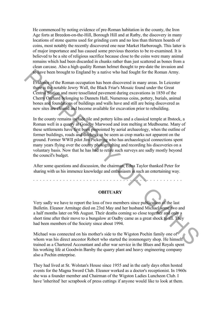He commenced by noting evidence of pre-Roman habitation in the county, the Iron Age forts at Breedon-on-the-Hill, Borough Hill and at Ratby, the discovery in many locations of stone querns used for grinding corn and no less than thirteen hoards of coins, most notably the recently discovered one near Market Harborough. This latter is of major importance and has caused some previous theories to be re-examined. It is believed to be a site of religious sacrifice because close to the coins were many animal remains which had been discarded in chunks rather than just scattered as bones from a clean carcase. Also a high quality Roman helmet thought to pre-date the invasion and to have been brought to England by a native who had fought for the Roman Army.

Evidence of the Roman occupation has been discovered in many areas. In Leicester there is the notable Jewry Wall, the Black Friar's Mosaic found under the Great Central Station and more tessellated pavement during excavations in 1850 of the Cherry Orchard belonging to Dannets HalL Numerous coins, pottery, burials, animal bones and foundations of buildings and walls have and still are being discovered as new sites are cleared and become available for excavation prior to rebuilding.

In the county remains include tile and pottery kilns and a classical temple at Ibstock, a Roman well in a quarry at Goadby Marwood and iron melting at Medbourne. Many of these settlements have first been pinpointed by aerial archaeology, when the outline of former buildings, roads and ditches can be seem as crop marks not apparent on the ground. Former WWII pilot Jim Pickering who has archaeological connections spent many years flying over the county photographing and recording his discoveries on a voluntary basis. Now that he has had to retire such surveys are sadly mostly beyond the council's budget. To have been brought to England by a native who had fought for the Roman Army.<br>
Evaluate of the Roman occupation has been discovered in many areas. In Leicester<br>
that Schrid Station and more test-liated Parement during ex

After some questions and discussion, the chairman, Edna Taylor thanked Peter for sharing with us his immence knowledge and enthusiasm in such an entertaining way.

\* \* \* \* \* \* \* \* \* \* \* \* \* \* \* \* \* \* \* \* \* \* \* \* \* \* \* \* \* \* \* \* \* \* \* \* \* \* \* \* \* \* \* \* \*

#### **OBITUARY**

Very sadly we have to report the loss of two members since publication of the last Bulletin. Eleanor Armitage died on 23rd May and her husband Michael some two and a half months later on 9th August. Their deaths coming so close together and only a short time after their move to a bungalow at Oadby came as a great shock to all. They had been members of the Society since about 1994.

Michael was connected on his mother's side to the Wigston Pochin family one of whom was his direct ancestor Robert who started the ironmongery shop. He himself trained as a Chartered Accountant and after war service in the Blues and Royals spent his working life at Goodwin Barsby the quarry plant and heavy engineering company also a Pochin enterprise.

They had lived at St. Wolstan's House since 1955 and in the early days often hosted events for the Magna Sword Club. Eleanor worked as a doctor's receptionist. In 1960s she was a founder member and Chairman of the Wigston Ladies Luncheon Club. I have 'inherited' her scrapbook of press cuttings if anyone would like to look at them.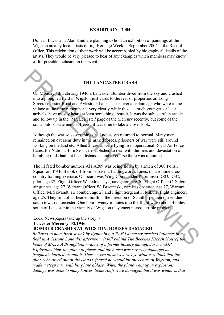#### **EXHIBITION - 2004**

Duncan Lucas and Alan Kind are planning to hold an exhibition of paintings of the Wigston area by local artists during Heritage Week in September 2004 at the Record Office. This celebration of their work will be accompanied by biographical details of the artists. They would be very pleased to hear of any examples which members may know of for possible inclusion in the event.

#### **THE LANCASTER CRASH**

On Monday 4th February 1946 a Lancaster Bomber dived from the sky and crashed into a ploughed field in Wigston just yards to the rear of properties on Long Street/Leicester Road and Aylestone Lane. Those over a certain age who were in the village at the time remember it very clearly while those a touch younger, or later arrivals, have mostly heard at least something about it. It was the subject of an article and follow up in the "Mr. Leicester' page of the Mercury recently, but some of the contributors' statements differed, it was time to take a closer look.

Although the war was over things had not as yet returned to normal. Many men remained on overseas duty in the armed forces, prisoners of war were still around working on the land etc. Allied aircrews were flying from operational Royal Air Force bases, the National Fire Service established to deal with the fires and devastation of bombing raids had not been disbanded and of course there was rationing.

The ill fated bomber number Al PA269 was being flown by airmen of 300 Polish Squadron, RAF. It took off from its base at Faldingworth, Lines, on a routine cross country training exercise. On board was Wing Commander R. Sulinski DSO. DFC, pilot, age 37, Flight Officer W. Jedrzejczyk, navigator, age 30, Flight Officer C. Sulgut, air gunner, age 27, Warrant Officer W. Brzezinski, wireless operator, age 27, Warrant Officer M. Szwandt, air bomber, age 28 and Flight Sergeant F. Mikula, flight engineer, age 25. They first of all headed north in the direction of Scunthorpe then turned due south towards Leicester. One hour, twenty minutes into the flight when about 4 miles south of Leicester in the vicinity of Wigston they encountered terrible problems. **THE LANCASTER CRASH**<br>
THE LANCASTER CRASH<br>
On Monday 4th February 1946 a Lancaster Bomber dived from the sky and crashed<br>
into a plogical che first procedure and the lost of the race of properties on Long<br>
street Leges t

Local Newspapers take up the story :- **Leicester Mercury 4/2/1946**

# **BOMBER CRASHES AT WIGSTON: HOUSES DAMAGED**

*Believed to have been struck by lightening, a RAF Lancaster crashed inflames in a field in Aylestone Lane this afternoon. It fell behind The Beeches [Beech House] the home of Mrs. J A Broughton, -widow of a former hosiery manufacturer andJP. Explosions blew the plane to pieces and the house was severely damaged as fragments hurtled around it. There -were no survivors, eye-witnesses think that the pilot, who dived out of the clouds, feared he would hit the centre of Wigston, and made a steep turn with his plane ablaze. When the plane went up in explosions damage was done to many houses. Some roofs were damaged, but it was windows that*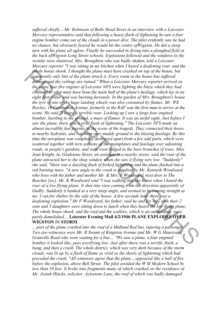*suffered chiefly....Mr. Robinson of Bulls Head Street in an interview with a Leicester Mercury representative said that following a heavy flash of lightening he saw a four engine bomber come out of the clouds in a power dive. The pilot evidently saw he had no chance, but obviously feared he would hit the centre ofWigston. He did a steep turn with his plane all aglow. Finally he succeeded in diving into a ploughed field at the back ofWigston Long Street schools. Explosions followed and the windows in the vicinity were shattered. Mrs. Broughton who was badly shaken, told a Leicester Mercury reporter "I was sitting in my kitchen when I heard a deafening roar, and the whole house shook. I thought the plane must have crashed on top of the house, but apparently only bits of the plane struck it. Every room in the house has suffered damage and the ceilings are ruined." When a Leicester Mercury reporter arrived on the scene four fire engines of Leicester NFS were fighting the blaze which they had confined to what must have been the main half of the plane's fusilage, which lay in an eight foot crater and was burning furiously. In the garden of Mrs. Broughton's house the tyre of one of the huge landing wheels was also consumed by flames. Mr. WE Rowley, 16 Coronation Avenue, formerly in the RAF was the first man to arrive at the scene. He said "I heard a terrible roar. Looking up I saw a large four engined bomber, hurtling to the ground, a mass of flames. It was an awful sight. Just before I saw the plane, there was a vivid flash of lightening." The Leicester NFS made an almost incredibly fast journey to the scene of the tragedy. They connected their hoses to nearby hydrants, and ran them over muddy ground to the blazing fuselage. By this time the aeroplane was completely destroyed apart from a few odd parts, which were scattered together with torn sections of the mainplanes and fuselage over adjoining roads, in people's gardens, and were even lodged in the bare branches of trees. Miss Jean Knight, la, Gladstone Street, an assistant in a nearby stores, said the roar of the plane attracted her to the shop window when she saw it flying very low. "Suddenly" she said, "there was a dazzling flash of forked lightening and the plane flashed into a red burning mass. "A new angle to the crash is supplied by Mr. Kenneth Woodward who lives with his father and mother Mr. & Mrs. F Woodward, next door to The Beeches [sic]. Mr. K Woodward said "I was walking into the house when I heard the roar of a low flying plane. It shot into view coming from the direction apparently of Oadby. Suddenly it banked at a very steep angle, and seemed to be coming straight at me. I ran for shelter by the side of the house. A few seconds later there was a deafening explosion." Mr F Woodward, his father, said he and his wife with their 2 sons and 3 daughters were sitting down to lunch when they heard the low flying plane. The whole house shook, and the roof and the scullery, which is an outbuilding, were partly demolished....* **Leicester Evening Mail 4/2/1946 PLANE EXPLODES OVER WIGSTON** IN **STORM** s suppose house shoot. Hought the plane must have extaked on top of the house but the plane structure in the course of the house of the following properties of different and the cellings are nuined. "When a Letester Mercu

*....part of the plane crashed into the roof of a Midland Red bus, injuring a passenger. Two eve-witnesses were Mr. R Swann of Kingston Avenue and Mr. W G Maurice of Granville Road who were waiting for a bus.... "We saw a plane, a four engined bomber it looked like, pass overflying low. Just after there was a terrific flash, a bang, and then a crash. The whole district, which was very dark because of the storm clouds, was lit up by a flash of flame as vivid as the sheets of lightening which had preceded the crash. "All witnesses agree that the plane....appeared like a ball of fire before the explosion, above Bell Street. The pilot avoided the W M Modern School by less than 10 feet. It broke into fragments many of which crashed on the residence of Mr. Josiah Hincks, solicitor, Aylestone Lane, the roof of which was badly damaged.*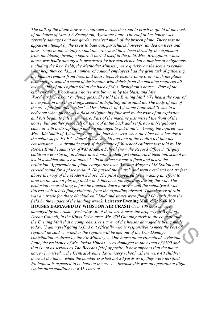*The bulk of the plane however continued across the road to crash in afield at the back of the house of Mrs. J A Broughton, Aylestone Lane. The roof of her house was severely damaged and her garden received much of the broken plane. There was no apparent attempt by the crew to bale out, parachutes however, landed on trees and house roofs in the vicinity so that the crew must have been thrust by the explosion from the blazing fuselage before it buried itself in the field. Mrs. Broughton, whose house was badly damaged is prostrated by her experience but a number of neighbours including the Rev. Bebb, the Methodist Minister, were quickly on the scene to render what help they could.... A number of council employees had the grim task of gathering the human remains from trees and house tops. Aylestone Lane over which the plane exploded presented a scene of destruction with debris from the machine scattered all over.... One of the engines fell at the back of Mrs. Broughton's house....Part of the kitchen of Mr. Woodward's house was blown in by the blast, and Mrs. Woodward....was cut by flying glass. She told the Evening Mail "We heard the roar of the explosion and then things seemed to befalling all around us. The body of one of the crew fell into this garden"....Mrs. Jebbett, of Aylestone Lane said "I was in a bedroom when there was a flash of lightening followed by the roar of an explosion and bits began to fall everywhere. Part of the machine just missed the front of the house, but another piece fell on the roof at the back and set fire to it. Neighbours came in with a stirrup pump and we managed to put it out"....Among the injured was Mrs. Ada Smith of Aylestone Lane, who hurt her wrist when the blast blew her down the cellar steps. Ex P.C. Jones' house was hit and one of the bodies fell into his conservatory.... A dramatic story of the escape of 80 school children was told by Mr. Robert Kind headmaster ofWM Modern School [now the Record Office J. "Eighty children were staying to dinner at school....we had just shepherded them into school to avoid a sudden shower at about 1.20p.m. when we saw a flash and heard the explosion. Apparently the plane caught fire over Wigston Magna LMS Station and circled round for a place to land. He passed the church and went overhead not six feet above the roof of the Modern School. The pilot appeared to be making an effort to*  land on the school playing field which has been ploughed up during the war. The *explosion occured long before he touched down however and the schoolyard was littered with debris flung violently from the exploding aircraft. That shower of rain was a miracle for those 80 children." Mud and stones were flung 2 00 yards from the field by the impact of the landing wreck.* **Leicester Evening Mail -5/2/1946 100 HOUSES DAMAGED BY WIGSTON AIR CRASH** *Over 100 houses were damaged by the crash....yesterday. 30 of these are houses the property of Wigston Urban Council, in the Kings Drive area. Mr. WH Gunning clerk to the council told the Evening Mail that a comprehensive survey of the houses damaged is being made today. "I am myself going to find out officially who is responsible to meet the cost of repairs" he said.... "whether the repairs will be met out of the War Damage contribution or direct by the Air Ministry"....One house alone Homefield, Aylestone*  Lane, the residence of Mr. Josiah Hincks....was damaged to the extent of £700 and *that is not as serious as The Beeches [sic] opposite. It now appears that the plane narrowly missed.... the Central Avenue day nursery school....there were 40 children there at the time....when the bomber crashed not 30 yards away they were terrified. No inquest is expected to be held on the crew.... because this was an operational flight. Under these conditions a RAF court of* what help they could...... A momet of countert enployees had the grim task of gambering the primary remains from trees and house tops. Ayiestsone Lane over which the plane<br>exploded presented a scene of destruction with de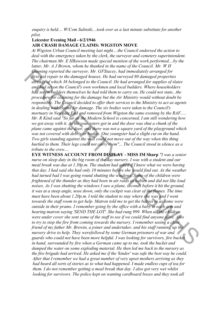*enquiry is held.... W/Com Sulinski....took over as a last minute substitute for another pilot.*

# **Leicester Evening Mail - 6/2/1946**

#### **AIR CRASH DAMAGE CLAIMS: WIGSTON MOVE**

*At Wigston Urban Council meeting last night....the Council endorsed the action to deal with the emergency taken by the clerk, the surveyor and cemetery superintendent. The chairman Mr. E HRawson made special mention of the work performed....by the latter, Mr. A J Brown, whom he thanked in the name of the Council. Mr. W H Gunning reported the surveyor, Mr. GFStacey, had immediately arranged for first-aid repair to the damaged houses. He had surveyed 80 damaged properties already of which 38 belonged to the Council. He had arranged for supplies of slates and had set on the Council's own workmen and local builders. Where householders had set on builders themselves he had told them to carry on. He could not state...the procedure for claiming for the damage but the Air Ministry would without doubt be responsible. The Council decided to offer their services to the Ministry to act as agents in dealing with claims for damage. The six bodies were taken to the Council's mortuary in Newgate End and removed from Wigston the same evening by the RAF..... Mr. R Kind said "So far as the Modern School is concerned, I am still wondering how we got away with it. As the youngsters got in and the door was shut a chunk of the plane came against the door, and there was not a square yard of the playground which was not covered with debris or bodies. One youngster had a slight cut on the hand. Two girls standing against the wall could not move out of the way when this thing hurtled to them. Their legs could not carry them"... The Council stood in silence as a tribute to the crew....*

**EYE WITNESS ACCOUNT FROM DISPLAY - MISS IM Sharp** *"I was a senior nurse on sleep duty in the big room of the day nursery. I was with a student and our meal break was due at 1.30p.m. The student had asked if I knew what we were having that day. I had said she had only 10 minutes before she would find out. As the weather had turned bad I was going round shutting the windows. Some of the children were frightened of the thunder as they had been in air raids as babies and did not like loud noises. As I was shutting the windows I saw a plane, seconds before it hit the ground, it was at a steep angle, nose down, only the cockpit was clear of the flames. The time must have been about 1.20p.m. I told the student to stay where she was and I went towards the staff room to get help. Matron told me to get the babies in as some were outside in their prams. I remember going by the office with a baby in each arm and hearing matron saying 'SEND THE LOT'. She had rung 999. When all the children were under cover she sent some of the staff to see if we could find anyone alive. Also to try to stop the fire from coming towards the nursery. I remember seeing a close friend of my father Mr. Brewin, a joiner and undertaker, and his staff running up the nursery drive to help. They werefollowd by some German prisoners of war and guards who could not have been more helpful. I was looking for survivors, fire bucket in hand, surrounded by fire when a German came up to me, took the bucket and dumped the water on some exploding material. He then led me back to the nursery as the fire brigade had arrived. He asked me if the 'kinder' was safe the best way he could. After that I remember we had a great number of very upset mothers arriving as they had heard all sorts of stories as to what had happened. I made endless cups of tea for them. I do not remember getting a meal break that day. I also got very wet whilst looking for survivors. The police kept on wanting cardboard boxes and they took all* Given the party expored the surveyor. Mr. GFStace, had immediately arranged for  $G$  are the surveyor of the surveyor of the surveyor of the surveyor of the surveyor of the surveyor of the surveyor of the surveyor of state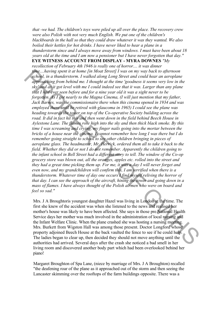*that -we had. The children's toys were piled up all over the place. The recovery crew were also Polish with not very much English. We put one of the children's blackboards in the hall so that they could draw whatever it was they wanted. We also boiled their kettles for hot drinks. I have never liked to hear a plane in a thunderstorm since and I always move away from windows. I must have been about 18 years old at the time and I am now a pensioner but I have never forgotten that day."* **EYE WITNESS ACCOUNT FROM DISPLAY - MYRA DOWNES** *"My* 

*recollection of February 4th 1946 is really one of horror.... it was dinner time....having spent it at home [in Moat Street] I was on my way back to afternoon school, in a thunderstorm. I walked along Long Street and could hear an aeroplane approaching from behind me. I thought at the time 'goodness it seems very low in the sky' and as it got level with me I could indeed see that it was. Larger than any plane that I had ever seen before and for a nine year old it was a sight never to be forgotten. As I got nearly to the Magna Cinema, (I will just mention that my father, Jack Barnes, was the commissionaire there when this cinema opened in 1934 and was employed there until he retired with glaucoma in 1965) I could see the plane was heading towards the tower on top of the Co-operative Society building across the*  road. It did in fact hit this and then went down in the field behind Beech House in *Aylestone Lane. The flames rose high into the sky and then thick black smoke. By this time I was screaming and crying, my finger nails going into the mortar between the bricks of a house near the cinema. I cannot remember how long I was there but I do remember going straight to school to see other children bringing in pieces of aeroplane glass. The headmaster, Mr. Herrick, ordered them all to take it back to the field. Whether they did or not I do not remember. Apparently the children going to the infant school in Bell Street had a different story to tell. The window of the Co-op grocery store was blown out, all the oranges, apples etc. rolled into the street and they had a great time picking them up. For me, it was a day I will never forget and even now, and my grandchildren will confirm this, I am terrified when there is a thunderstorm. Whatever time of day one occurs I find myself reliving the horror of that day. I can see the approach of the aircraft, hining the tower and going down in a mass of flames. I have always thought of the Polish airmen who were on board and feel so sad."* **Final.** Anoming spent it at home [in Mota Street] I was on my way back to afternoon the stay and the during the stay and the stay and the stay and the stay and the stay and the stay in the stay and the stay is the stay o

Mrs. J A Broughtoris youngest daughter Hazel was living in London at the time. The first she knew of the accident was when she listened to the news and realised her mother's house was likely to have been affected. She says in those pre National Health Service days her mother was much involved in the administration of local nursing and the Infant Welfare Clinic. When the plane crashed she was hosting a nursing meeting. Mrs. Burkett from Wigston Hall was among those present. Doctor Longford whose property adjoined Beech House at the back vaulted the fence to see if he could help. The ladies began to clear up, then decided they should not move anything until the authorities had arrived. Several days after the crash she noticed a bad smell in her living room and discovered another body part which had been overlooked behind her piano!

Margaret Broughton of Spa Lane, (niece by marriage of Mrs. J A Broughton) recalled "the deafening roar of the plane as it approached out of the storm and then seeing the Lancaster skimming over the rooftops of the farm buildings opposite. There was a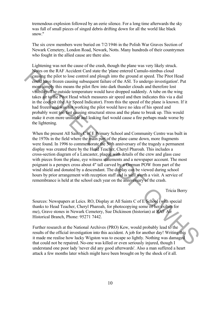tremendous explosion followed by an eerie silence. For a long time afterwards the sky was full of small pieces of singed debris drifting down for all the world like black snow."

The six crew members were buried on 7/2/1946 in the Polish War Graves Section of Newark Cemetery, London Road, Newark, Notts. Many hundreds of their countrymen who fought in the allied cause are there also.

Lightening was not the cause of the crash, though the plane was very likely struck. Notes on the RAF Accident Card state the 'plane entered Cumulo-nimbus cloud causing the pilot to lose control and plough into the ground at speed. The Pitot Head could have frozen causing subsequent failure of the ASI. To undergo investigation'. Put more simply this means the pilot flew into dark thunder clouds and therefore lost visibility. The outside temperature would have dropped suddenly. A tube on the wing takes air to the Pitot Head which measures air speed and then indicates this via a dial in the cockpit (the Air Speed Indicator). From this the speed of the plane is known. If it had frozen and was not working the pilot would have no idea of his speed and probably went too fast causing structural stress and the plane to break up. This would make it even more unstable and leaking fuel would cause a fire perhaps made worse by the lightening. Nears on the RAF Accided Crad state the plane entered Camulo-minbus cloud<br>many per point to lose control and plough into the ground at speed. The Pitot Head<br>could page frozen causing subsequent failure of the ASI. To unde

When the present All Saints C of E Primary School and Community Centre was built in the 1970s in the field where the main part of the plane came down, more fragments were found. In 1996 to commemorate the 50th anniversary of the tragedy a permanent display was created there by the Head Teacher, Cheryl Pharoah. This includes a cross-section diagram of a Lancaster, plaque with details of the crew and glass case with pieces from the plane, eye witness statements and a newspaper account. The most poignant is a perspex cross about 4" tall carved by a German POW from part of the wind shield and donated by a descendant. The display can be viewed during school hours by prior arrangement with reception staff and is well worth a visit. A service of remembrance is held at the school each year on the anniversary of the crash.

Tricia Berry

Sources: Newspapers at Leics. RO, Display at All Saints C of E School (with special thanks to Head Teacher, Cheryl Pharoah, for photocopying some of her exibits for me), Grave stones in Newark Cemetery, Sue Dickinson (historian) at RAF Air Historical Branch, Phone: 95271 7442.

Further research at the National Archives (PRO) Kew, would probably lead to the results of the official investigation into this accident. A job for another day! Writing this it made me realise how lucky Wigston was to escape so lightly. Nothing was damaged that could not be repaired. No-one was killed or even seriously injured, though I understand one poor lady 'never did any good afterwards'. Also a man suffered a heart attack a few months later which might have been brought on by the shock of it all.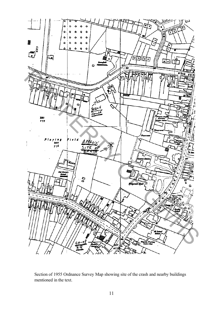

Section of 1955 Ordnance Survey Map showing site of the crash and nearby buildings mentioned in the text.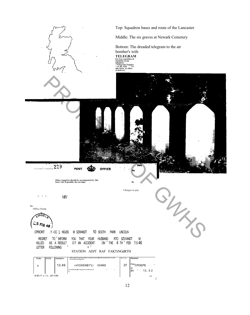

/